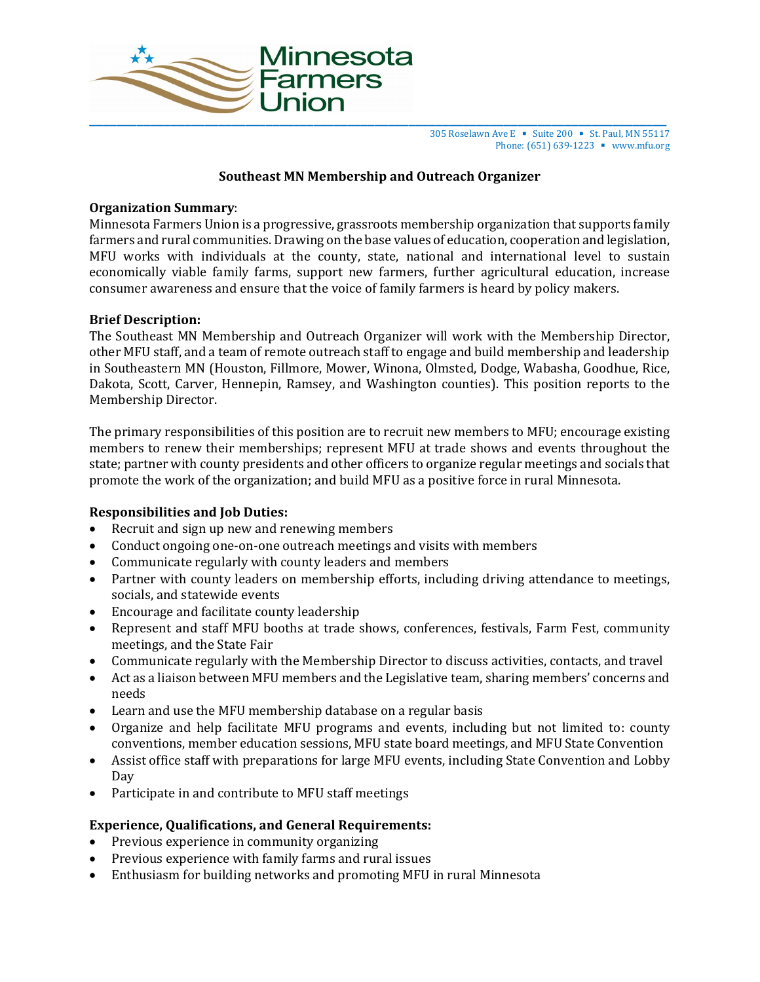

305 Roselawn Ave E ■ Suite 200 ■ St. Paul, MN 55117 Phone: (651) 639-1223 ■ www.mfu.org

# **Southeast MN Membership and Outreach Organizer**

## **Organization Summary**:

Minnesota Farmers Union is a progressive, grassroots membership organization that supports family farmers and rural communities. Drawing on the base values of education, cooperation and legislation, MFU works with individuals at the county, state, national and international level to sustain economically viable family farms, support new farmers, further agricultural education, increase consumer awareness and ensure that the voice of family farmers is heard by policy makers.

## **Brief Description:**

The Southeast MN Membership and Outreach Organizer will work with the Membership Director, other MFU staff, and a team of remote outreach staff to engage and build membership and leadership in Southeastern MN (Houston, Fillmore, Mower, Winona, Olmsted, Dodge, Wabasha, Goodhue, Rice, Dakota, Scott, Carver, Hennepin, Ramsey, and Washington counties). This position reports to the Membership Director.

The primary responsibilities of this position are to recruit new members to MFU; encourage existing members to renew their memberships; represent MFU at trade shows and events throughout the state; partner with county presidents and other officers to organize regular meetings and socials that promote the work of the organization; and build MFU as a positive force in rural Minnesota.

## **Responsibilities and Job Duties:**

- Recruit and sign up new and renewing members
- Conduct ongoing one-on-one outreach meetings and visits with members
- Communicate regularly with county leaders and members
- Partner with county leaders on membership efforts, including driving attendance to meetings, socials, and statewide events
- Encourage and facilitate county leadership
- Represent and staff MFU booths at trade shows, conferences, festivals, Farm Fest, community meetings, and the State Fair
- Communicate regularly with the Membership Director to discuss activities, contacts, and travel
- Act as a liaison between MFU members and the Legislative team, sharing members' concerns and needs
- Learn and use the MFU membership database on a regular basis
- Organize and help facilitate MFU programs and events, including but not limited to: county conventions, member education sessions, MFU state board meetings, and MFU State Convention
- Assist office staff with preparations for large MFU events, including State Convention and Lobby Day
- Participate in and contribute to MFU staff meetings

## **Experience, Qualifications, and General Requirements:**

- Previous experience in community organizing
- Previous experience with family farms and rural issues
- Enthusiasm for building networks and promoting MFU in rural Minnesota